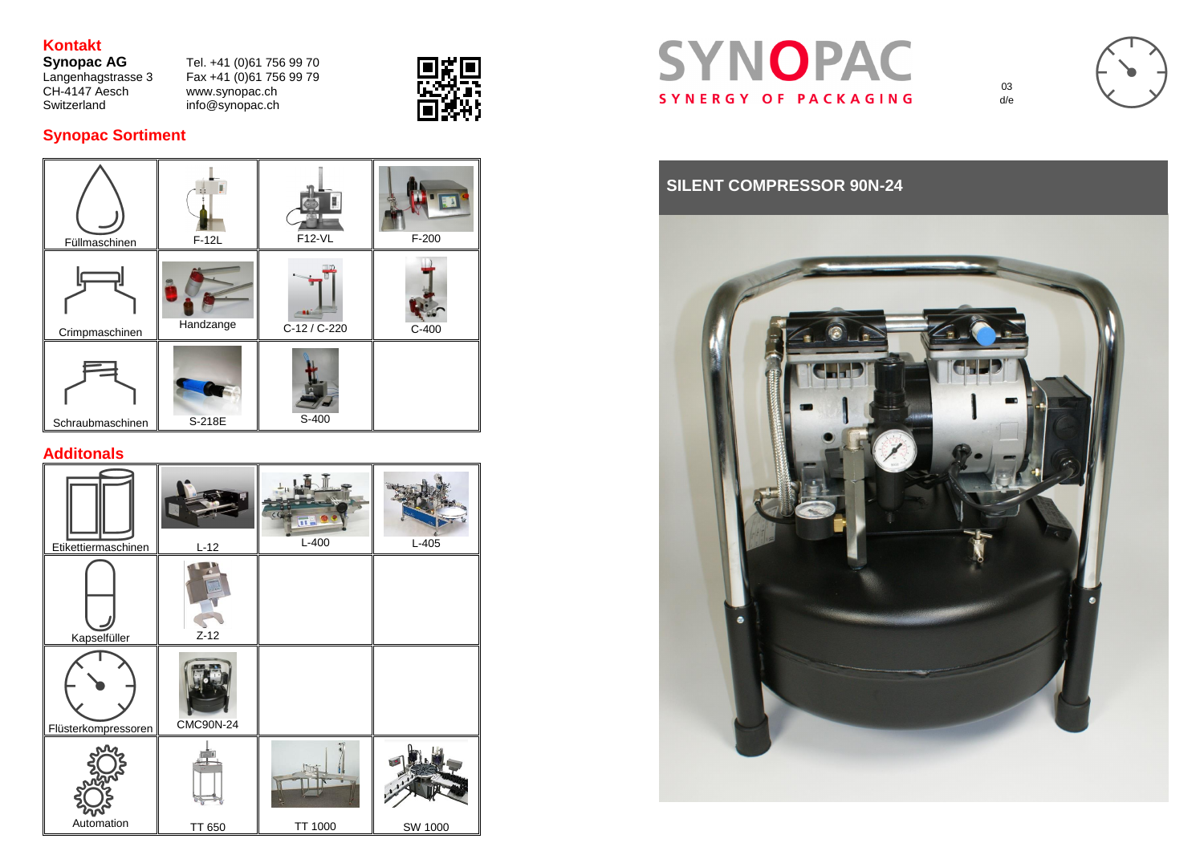# **Kontakt**

Changenhagstrasse 3<br>CH-4147 Aesch<br>Switzerland

**Synopac AG** Tel. +41 (0)61 756 99 70  $Fax +41 (0)61 756 99 79$ <br>www.synopac.ch  $info@synopac.ch$ 



# SYNOPAC SYNERGY OF PACKAGING

# **Synopac Sortiment**



## **Additonals**

| Etikettiermaschinen | $L-12$           | CΕ<br>$\overline{\mathbf{u}}$<br>$L-400$ | $L-405$        |
|---------------------|------------------|------------------------------------------|----------------|
| Kapselfüller        | $Z-12$           |                                          |                |
| Flüsterkompressoren | <b>CMC90N-24</b> |                                          |                |
| Automation          | <b>TT 650</b>    | <b>TT 1000</b>                           | <b>SW 1000</b> |